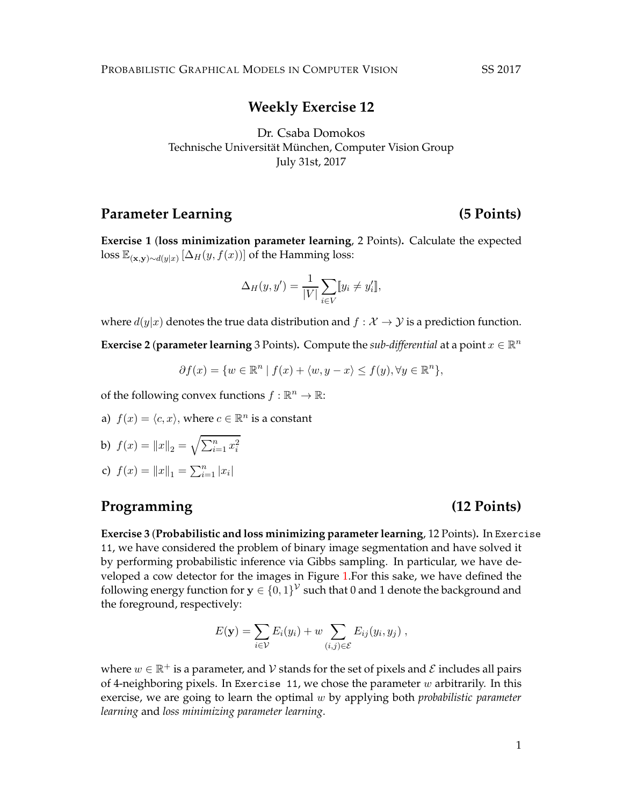PROBABILISTIC GRAPHICAL MODELS IN COMPUTER VISION SS 2017

### **Weekly Exercise 12**

Dr. Csaba Domokos Technische Universität München, Computer Vision Group July 31st, 2017

# Parameter Learning (5 Points)

**Exercise 1** (**loss minimization parameter learning**, 2 Points)**.** Calculate the expected loss  $\mathbb{E}_{(\mathbf{x},\mathbf{y})\sim d(y|x)}[\Delta_H(y,f(x))]$  of the Hamming loss:

$$
\Delta_H(y, y') = \frac{1}{|V|} \sum_{i \in V} [y_i \neq y'_i],
$$

where  $d(y|x)$  denotes the true data distribution and  $f : \mathcal{X} \to \mathcal{Y}$  is a prediction function.

**Exercise 2 (parameter learning** 3 Points). Compute the *sub-differential* at a point  $x \in \mathbb{R}^n$ 

$$
\partial f(x) = \{ w \in \mathbb{R}^n \mid f(x) + \langle w, y - x \rangle \le f(y), \forall y \in \mathbb{R}^n \},
$$

of the following convex functions  $f : \mathbb{R}^n \to \mathbb{R}$ :

a)  $f(x) = \langle c, x \rangle$ , where  $c \in \mathbb{R}^n$  is a constant

b) 
$$
f(x) = ||x||_2 = \sqrt{\sum_{i=1}^n x_i^2}
$$

c) 
$$
f(x) = ||x||_1 = \sum_{i=1}^n |x_i|
$$

# **Programming (12 Points)**

**Exercise 3** (**Probabilistic and loss minimizing parameter learning**, 12 Points)**.** In Exercise 11, we have considered the problem of binary image segmentation and have solved it by performing probabilistic inference via Gibbs sampling. In particular, we have developed a cow detector for the images in Figure [1.](#page-1-0)For this sake, we have defined the following energy function for  $\mathbf{y} \in \{0,1\}^{\mathcal{V}}$  such that  $0$  and  $1$  denote the background and the foreground, respectively:

$$
E(\mathbf{y}) = \sum_{i \in \mathcal{V}} E_i(y_i) + w \sum_{(i,j) \in \mathcal{E}} E_{ij}(y_i, y_j) ,
$$

where  $w \in \mathbb{R}^+$  is a parameter, and  $\mathcal V$  stands for the set of pixels and  $\mathcal E$  includes all pairs of 4-neighboring pixels. In Exercise 11, we chose the parameter  $w$  arbitrarily. In this exercise, we are going to learn the optimal w by applying both *probabilistic parameter learning* and *loss minimizing parameter learning*.